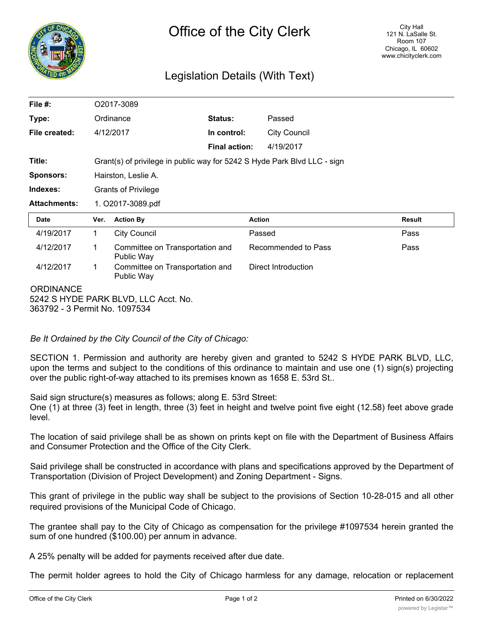

## Legislation Details (With Text)

| File $#$ :          | O2017-3089                                                               |                                               |                      |               |                             |               |
|---------------------|--------------------------------------------------------------------------|-----------------------------------------------|----------------------|---------------|-----------------------------|---------------|
| Type:               |                                                                          | Ordinance                                     | Status:              | Passed        |                             |               |
| File created:       |                                                                          | 4/12/2017                                     | In control:          |               | <b>City Council</b>         |               |
|                     |                                                                          |                                               | <b>Final action:</b> |               | 4/19/2017                   |               |
| Title:              | Grant(s) of privilege in public way for 5242 S Hyde Park Blvd LLC - sign |                                               |                      |               |                             |               |
| <b>Sponsors:</b>    | Hairston, Leslie A.                                                      |                                               |                      |               |                             |               |
| Indexes:            | <b>Grants of Privilege</b>                                               |                                               |                      |               |                             |               |
| <b>Attachments:</b> | 1. O2017-3089.pdf                                                        |                                               |                      |               |                             |               |
| <b>Date</b>         | Ver.                                                                     | <b>Action By</b>                              |                      | <b>Action</b> |                             | <b>Result</b> |
| 4/19/2017           | 1                                                                        | <b>City Council</b>                           |                      | Passed        |                             | Pass          |
| 4/12/2017           | 1                                                                        | Committee on Transportation and<br>Public Way |                      |               | Recommended to Pass<br>Pass |               |
| 4/12/2017           | 1                                                                        | Committee on Transportation and<br>Public Way |                      |               | Direct Introduction         |               |
| <b>ORDINANCE</b>    |                                                                          | 5242 S HYDE PARK BLVD, LLC Acct. No.          |                      |               |                             |               |

363792 - 3 Permit No. 1097534

*Be It Ordained by the City Council of the City of Chicago:*

SECTION 1. Permission and authority are hereby given and granted to 5242 S HYDE PARK BLVD, LLC, upon the terms and subject to the conditions of this ordinance to maintain and use one (1) sign(s) projecting over the public right-of-way attached to its premises known as 1658 E. 53rd St..

Said sign structure(s) measures as follows; along E. 53rd Street:

One (1) at three (3) feet in length, three (3) feet in height and twelve point five eight (12.58) feet above grade level.

The location of said privilege shall be as shown on prints kept on file with the Department of Business Affairs and Consumer Protection and the Office of the City Clerk.

Said privilege shall be constructed in accordance with plans and specifications approved by the Department of Transportation (Division of Project Development) and Zoning Department - Signs.

This grant of privilege in the public way shall be subject to the provisions of Section 10-28-015 and all other required provisions of the Municipal Code of Chicago.

The grantee shall pay to the City of Chicago as compensation for the privilege #1097534 herein granted the sum of one hundred (\$100.00) per annum in advance.

A 25% penalty will be added for payments received after due date.

The permit holder agrees to hold the City of Chicago harmless for any damage, relocation or replacement